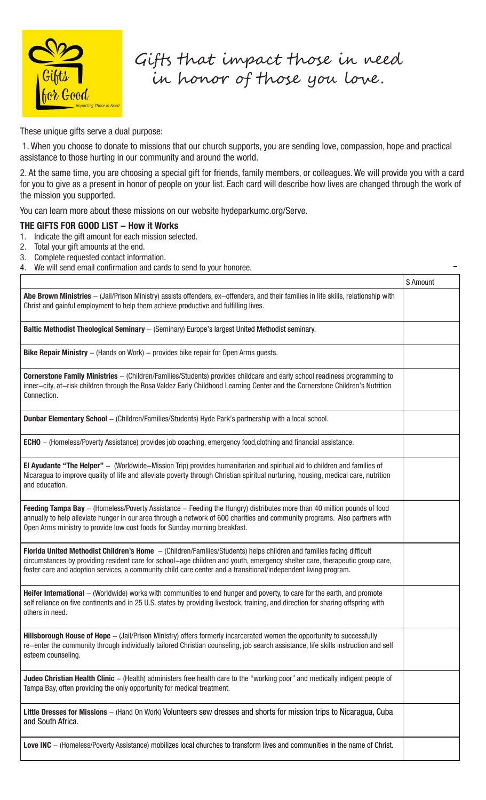

Gifts that impact those in need in honor of those you love.

These unique gifts serve a dual purpose:

 1. When you choose to donate to missions that our church supports, you are sending love, compassion, hope and practical assistance to those hurting in our community and around the world.

2. At the same time, you are choosing a special gift for friends, family members, or colleagues. We will provide you with a card for you to give as a present in honor of people on your list. Each card will describe how lives are changed through the work of the mission you supported.

You can learn more about these missions on our website hydeparkumc.org/Serve.

## **THE GIFTS FOR GOOD LIST - How it Works**

- 1. Indicate the gift amount for each mission selected.
- 2. Total your gift amounts at the end.
- 3. Complete requested contact information.
- 4. We will send email confirmation and cards to send to your honoree.

|                                                                                                                                                                                                                                                                                                                                                                        | \$ Amount |
|------------------------------------------------------------------------------------------------------------------------------------------------------------------------------------------------------------------------------------------------------------------------------------------------------------------------------------------------------------------------|-----------|
| Abe Brown Ministries - (Jail/Prison Ministry) assists offenders, ex-offenders, and their families in life skills, relationship with<br>Christ and gainful employment to help them achieve productive and fulfilling lives.                                                                                                                                             |           |
| Baltic Methodist Theological Seminary - (Seminary) Europe's largest United Methodist seminary.                                                                                                                                                                                                                                                                         |           |
| <b>Bike Repair Ministry</b> $-$ (Hands on Work) $-$ provides bike repair for Open Arms guests.                                                                                                                                                                                                                                                                         |           |
| Cornerstone Family Ministries - (Children/Families/Students) provides childcare and early school readiness programming to<br>inner-city, at-risk children through the Rosa Valdez Early Childhood Learning Center and the Cornerstone Children's Nutrition<br>Connection.                                                                                              |           |
| Dunbar Elementary School - (Children/Families/Students) Hyde Park's partnership with a local school.                                                                                                                                                                                                                                                                   |           |
| <b>ECHO</b> – (Homeless/Poverty Assistance) provides job coaching, emergency food, clothing and financial assistance.                                                                                                                                                                                                                                                  |           |
| El Ayudante "The Helper" - (Worldwide–Mission Trip) provides humanitarian and spiritual aid to children and families of<br>Nicaragua to improve quality of life and alleviate poverty through Christian spiritual nurturing, housing, medical care, nutrition<br>and education.                                                                                        |           |
| Feeding Tampa Bay - (Homeless/Poverty Assistance - Feeding the Hungry) distributes more than 40 million pounds of food<br>annually to help alleviate hunger in our area through a network of 600 charities and community programs. Also partners with<br>Open Arms ministry to provide low cost foods for Sunday morning breakfast.                                    |           |
| Florida United Methodist Children's Home - (Children/Families/Students) helps children and families facing difficult<br>circumstances by providing resident care for school–age children and youth, emergency shelter care, therapeutic group care,<br>foster care and adoption services, a community child care center and a transitional/independent living program. |           |
| Heifer International - (Worldwide) works with communities to end hunger and poverty, to care for the earth, and promote<br>self reliance on five continents and in 25 U.S. states by providing livestock, training, and direction for sharing offspring with<br>others in need.                                                                                        |           |
| Hillsborough House of Hope - (Jail/Prison Ministry) offers formerly incarcerated women the opportunity to successfully<br>re-enter the community through individually tailored Christian counseling, job search assistance, life skills instruction and self<br>esteem counseling.                                                                                     |           |
| Judeo Christian Health Clinic - (Health) administers free health care to the "working poor" and medically indigent people of<br>Tampa Bay, often providing the only opportunity for medical treatment.                                                                                                                                                                 |           |
| Little Dresses for Missions - (Hand On Work) Volunteers sew dresses and shorts for mission trips to Nicaragua, Cuba<br>and South Africa.                                                                                                                                                                                                                               |           |
| Love INC - (Homeless/Poverty Assistance) mobilizes local churches to transform lives and communities in the name of Christ.                                                                                                                                                                                                                                            |           |